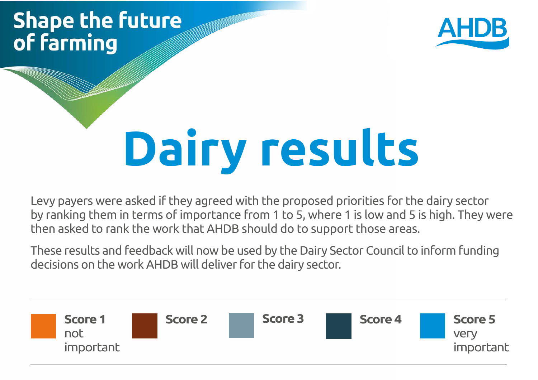## **Shape the future** of farming



# **Dairy results**

Levy payers were asked if they agreed with the proposed priorities for the dairy sector by ranking them in terms of importance from 1 to 5, where 1 is low and 5 is high. They were then asked to rank the work that AHDB should do to support those areas.

These results and feedback will now be used by the Dairy Sector Council to inform funding decisions on the work AHDB will deliver for the dairy sector.

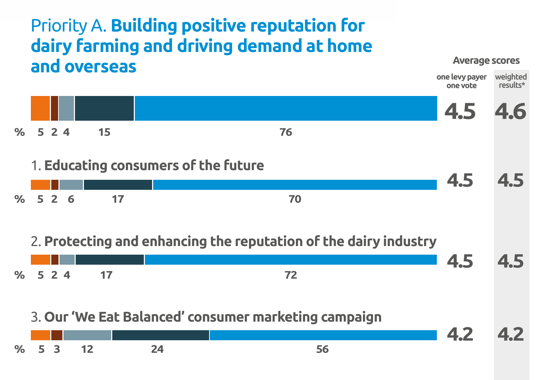## Priority A. **Building positive reputation for dairy farming and driving demand at home and overseas**

#### **Average scores**

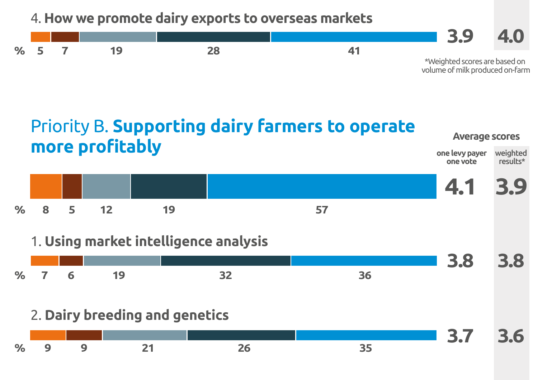#### 4. **How we promote dairy exports to overseas markets**





### 1. **Using market intelligence analysis**

|       |  |  | 3.8 3.8 |  |
|-------|--|--|---------|--|
| % 7 6 |  |  |         |  |

### 2. **Dairy breeding and genetics**

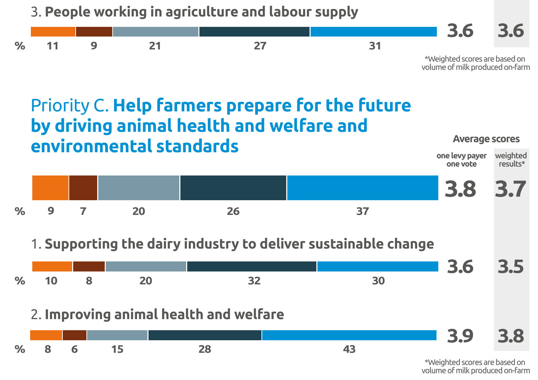

## Priority C. **Help farmers prepare for the future by driving animal health and welfare and environmental standards**



1. **Supporting the dairy industry to deliver sustainable change**



volume of milk produced on-farm

**one levy payer one vote**

**Average scores**

weighted results\*